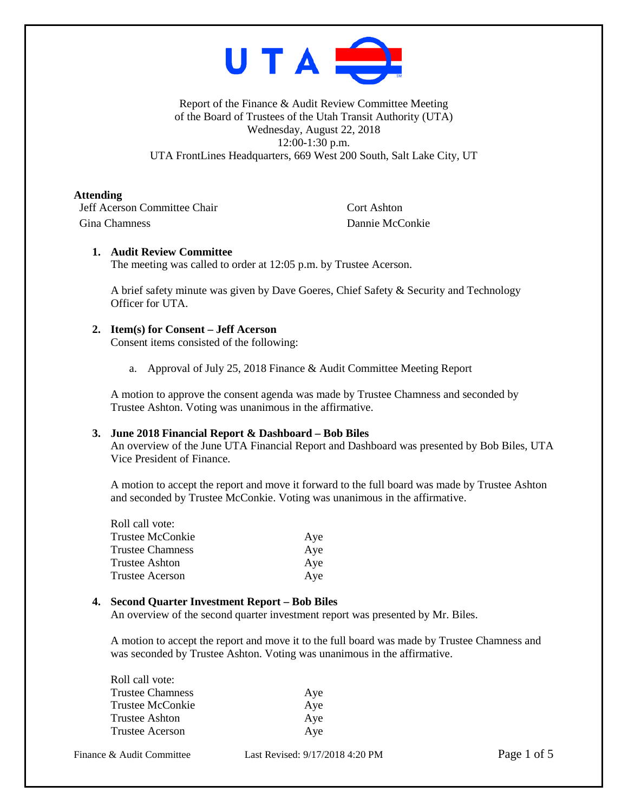

Report of the Finance & Audit Review Committee Meeting of the Board of Trustees of the Utah Transit Authority (UTA) Wednesday, August 22, 2018 12:00-1:30 p.m. UTA FrontLines Headquarters, 669 West 200 South, Salt Lake City, UT

# **Attending**

**Jeff Acerson Committee Chair** Cort Ashton Gina Chamness Dannie McConkie

# **1. Audit Review Committee**

The meeting was called to order at 12:05 p.m. by Trustee Acerson.

A brief safety minute was given by Dave Goeres, Chief Safety & Security and Technology Officer for UTA.

# **2. Item(s) for Consent – Jeff Acerson**

Consent items consisted of the following:

a. Approval of July 25, 2018 Finance & Audit Committee Meeting Report

A motion to approve the consent agenda was made by Trustee Chamness and seconded by Trustee Ashton. Voting was unanimous in the affirmative.

### **3. June 2018 Financial Report & Dashboard – Bob Biles**

An overview of the June UTA Financial Report and Dashboard was presented by Bob Biles, UTA Vice President of Finance.

A motion to accept the report and move it forward to the full board was made by Trustee Ashton and seconded by Trustee McConkie. Voting was unanimous in the affirmative.

| Roll call vote:  |     |
|------------------|-----|
| Trustee McConkie | Aye |
| Trustee Chamness | Aye |
| Trustee Ashton   | Aye |
| Trustee Acerson  | Aye |
|                  |     |

### **4. Second Quarter Investment Report – Bob Biles**

An overview of the second quarter investment report was presented by Mr. Biles.

A motion to accept the report and move it to the full board was made by Trustee Chamness and was seconded by Trustee Ashton. Voting was unanimous in the affirmative.

| Roll call vote:         |     |
|-------------------------|-----|
| <b>Trustee Chamness</b> | Aye |
| Trustee McConkie        | Aye |
| Trustee Ashton          | Aye |
| Trustee Acerson         | Aye |
|                         |     |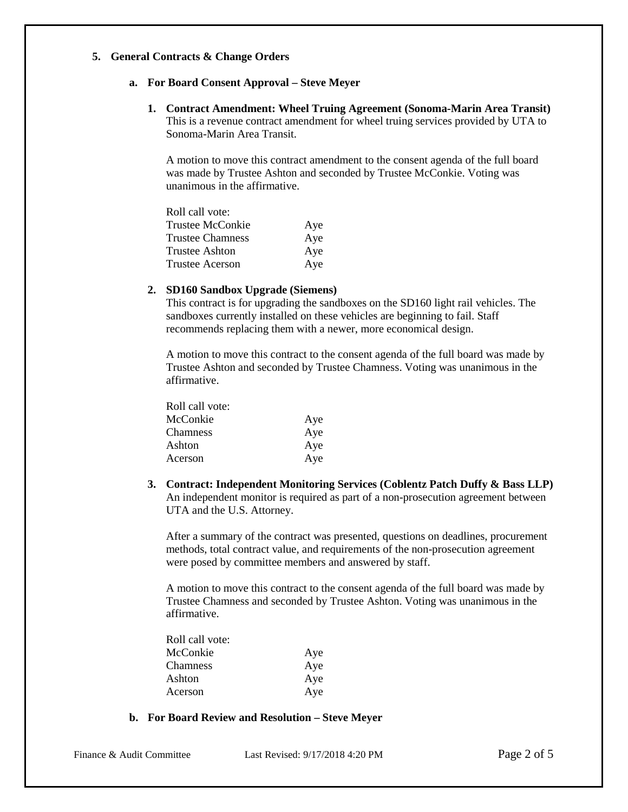# **5. General Contracts & Change Orders**

## **a. For Board Consent Approval – Steve Meyer**

**1. Contract Amendment: Wheel Truing Agreement (Sonoma-Marin Area Transit)** This is a revenue contract amendment for wheel truing services provided by UTA to Sonoma-Marin Area Transit.

A motion to move this contract amendment to the consent agenda of the full board was made by Trustee Ashton and seconded by Trustee McConkie. Voting was unanimous in the affirmative.

| Roll call vote:         |     |
|-------------------------|-----|
| <b>Trustee McConkie</b> | Aye |
| <b>Trustee Chamness</b> | Aye |
| Trustee Ashton          | Aye |
| <b>Trustee Acerson</b>  | Aye |

## **2. SD160 Sandbox Upgrade (Siemens)**

This contract is for upgrading the sandboxes on the SD160 light rail vehicles. The sandboxes currently installed on these vehicles are beginning to fail. Staff recommends replacing them with a newer, more economical design.

A motion to move this contract to the consent agenda of the full board was made by Trustee Ashton and seconded by Trustee Chamness. Voting was unanimous in the affirmative.

| Roll call vote: |     |
|-----------------|-----|
| McConkie        | Aye |
| <b>Chamness</b> | Aye |
| Ashton          | Aye |
| Acerson         | Aye |

**3. Contract: Independent Monitoring Services (Coblentz Patch Duffy & Bass LLP)** An independent monitor is required as part of a non-prosecution agreement between UTA and the U.S. Attorney.

After a summary of the contract was presented, questions on deadlines, procurement methods, total contract value, and requirements of the non-prosecution agreement were posed by committee members and answered by staff.

A motion to move this contract to the consent agenda of the full board was made by Trustee Chamness and seconded by Trustee Ashton. Voting was unanimous in the affirmative.

| Roll call vote: |     |
|-----------------|-----|
| McConkie        | Aye |
| <b>Chamness</b> | Aye |
| Ashton          | Aye |
| Acerson         | Aye |

## **b. For Board Review and Resolution – Steve Meyer**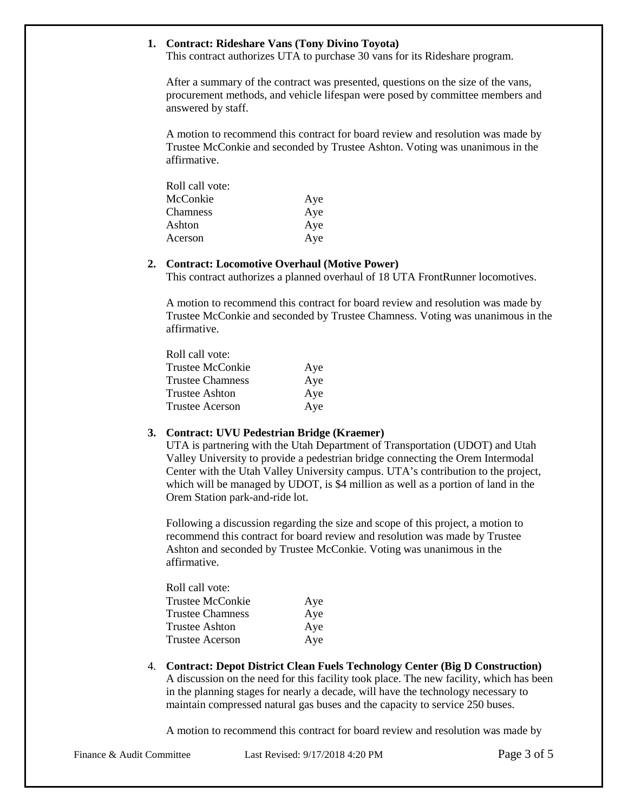# **1. Contract: Rideshare Vans (Tony Divino Toyota)**

This contract authorizes UTA to purchase 30 vans for its Rideshare program.

After a summary of the contract was presented, questions on the size of the vans, procurement methods, and vehicle lifespan were posed by committee members and answered by staff.

A motion to recommend this contract for board review and resolution was made by Trustee McConkie and seconded by Trustee Ashton. Voting was unanimous in the affirmative.

| Roll call vote: |     |
|-----------------|-----|
| McConkie        | Aye |
| Chamness        | Aye |
| Ashton          | Aye |
| Acerson         | Aye |

#### **2. Contract: Locomotive Overhaul (Motive Power)**

This contract authorizes a planned overhaul of 18 UTA FrontRunner locomotives.

A motion to recommend this contract for board review and resolution was made by Trustee McConkie and seconded by Trustee Chamness. Voting was unanimous in the affirmative.

| Roll call vote:         |     |
|-------------------------|-----|
| Trustee McConkie        | Aye |
| <b>Trustee Chamness</b> | Aye |
| <b>Trustee Ashton</b>   | Aye |
| Trustee Acerson         | Aye |

#### **3. Contract: UVU Pedestrian Bridge (Kraemer)**

UTA is partnering with the Utah Department of Transportation (UDOT) and Utah Valley University to provide a pedestrian bridge connecting the Orem Intermodal Center with the Utah Valley University campus. UTA's contribution to the project, which will be managed by UDOT, is \$4 million as well as a portion of land in the Orem Station park-and-ride lot.

Following a discussion regarding the size and scope of this project, a motion to recommend this contract for board review and resolution was made by Trustee Ashton and seconded by Trustee McConkie. Voting was unanimous in the affirmative.

| Roll call vote:         |     |
|-------------------------|-----|
| Trustee McConkie        | Aye |
| <b>Trustee Chamness</b> | Aye |
| <b>Trustee Ashton</b>   | Aye |
| Trustee Acerson         | Aye |

4. **Contract: Depot District Clean Fuels Technology Center (Big D Construction)** A discussion on the need for this facility took place. The new facility, which has been in the planning stages for nearly a decade, will have the technology necessary to maintain compressed natural gas buses and the capacity to service 250 buses.

A motion to recommend this contract for board review and resolution was made by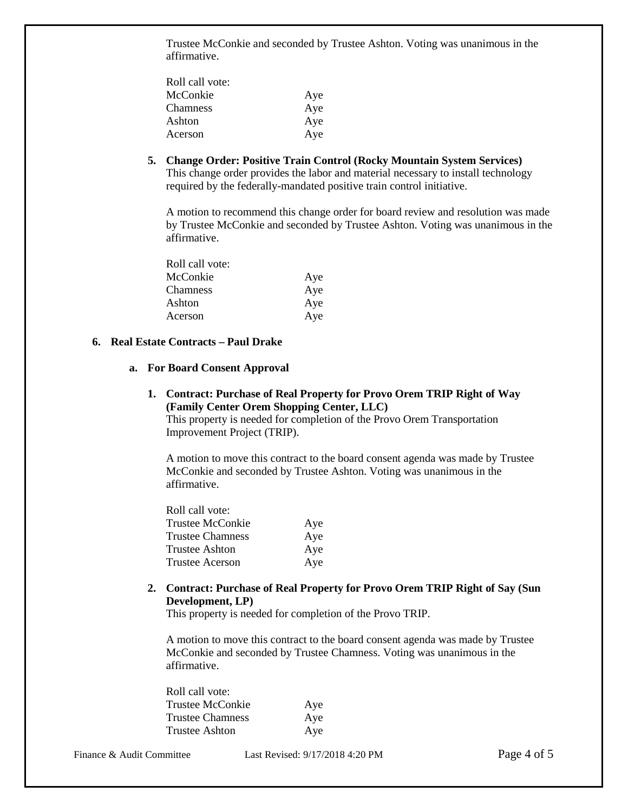Trustee McConkie and seconded by Trustee Ashton. Voting was unanimous in the affirmative.

| Roll call vote: |     |
|-----------------|-----|
| McConkie        | Aye |
| <b>Chamness</b> | Aye |
| Ashton          | Aye |
| Acerson         | Aye |

**5. Change Order: Positive Train Control (Rocky Mountain System Services)** This change order provides the labor and material necessary to install technology required by the federally-mandated positive train control initiative.

A motion to recommend this change order for board review and resolution was made by Trustee McConkie and seconded by Trustee Ashton. Voting was unanimous in the affirmative.

| Roll call vote: |     |
|-----------------|-----|
| McConkie        | Aye |
| Chamness        | Aye |
| Ashton          | Aye |
| Acerson         | Aye |

# **6. Real Estate Contracts – Paul Drake**

#### **a. For Board Consent Approval**

**1. Contract: Purchase of Real Property for Provo Orem TRIP Right of Way (Family Center Orem Shopping Center, LLC)**

This property is needed for completion of the Provo Orem Transportation Improvement Project (TRIP).

A motion to move this contract to the board consent agenda was made by Trustee McConkie and seconded by Trustee Ashton. Voting was unanimous in the affirmative.

| Roll call vote:         |     |
|-------------------------|-----|
| Trustee McConkie        | Aye |
| <b>Trustee Chamness</b> | Aye |
| <b>Trustee Ashton</b>   | Aye |
| <b>Trustee Acerson</b>  | Aye |
|                         |     |

**2. Contract: Purchase of Real Property for Provo Orem TRIP Right of Say (Sun Development, LP)**

This property is needed for completion of the Provo TRIP.

A motion to move this contract to the board consent agenda was made by Trustee McConkie and seconded by Trustee Chamness. Voting was unanimous in the affirmative.

| Roll call vote:         |     |
|-------------------------|-----|
| Trustee McConkie        | Aye |
| <b>Trustee Chamness</b> | Aye |
| Trustee Ashton          | Aye |